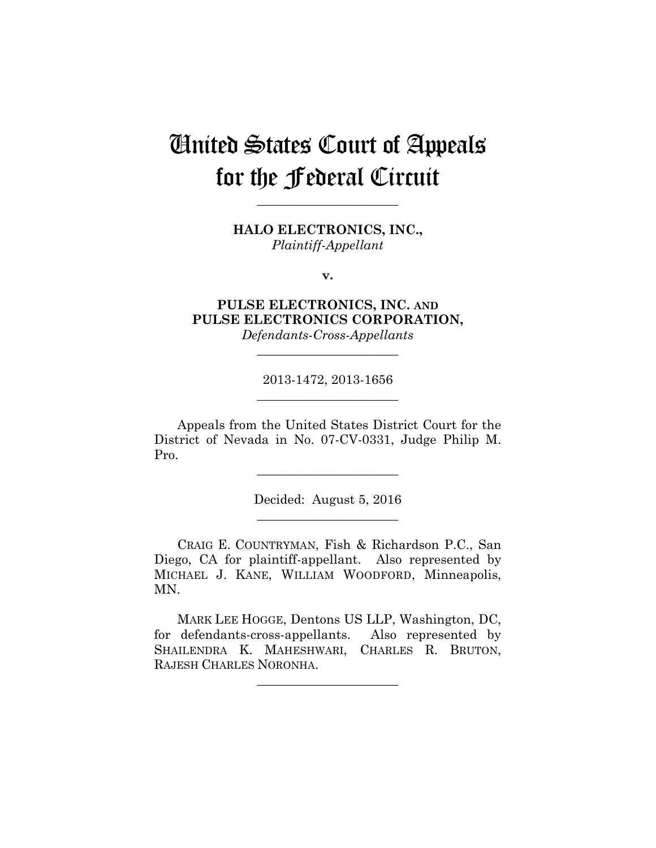# United States Court of Appeals for the Federal Circuit

**HALO ELECTRONICS, INC.,** *Plaintiff-Appellant*

**\_\_\_\_\_\_\_\_\_\_\_\_\_\_\_\_\_\_\_\_\_\_** 

**v.**

**PULSE ELECTRONICS, INC. AND PULSE ELECTRONICS CORPORATION,**

*Defendants-Cross-Appellants* **\_\_\_\_\_\_\_\_\_\_\_\_\_\_\_\_\_\_\_\_\_\_** 

2013-1472, 2013-1656 **\_\_\_\_\_\_\_\_\_\_\_\_\_\_\_\_\_\_\_\_\_\_** 

Appeals from the United States District Court for the District of Nevada in No. 07-CV-0331, Judge Philip M. Pro.

> Decided: August 5, 2016 **\_\_\_\_\_\_\_\_\_\_\_\_\_\_\_\_\_\_\_\_\_\_**

**\_\_\_\_\_\_\_\_\_\_\_\_\_\_\_\_\_\_\_\_\_\_** 

CRAIG E. COUNTRYMAN, Fish & Richardson P.C., San Diego, CA for plaintiff-appellant. Also represented by MICHAEL J. KANE, WILLIAM WOODFORD, Minneapolis, MN.

MARK LEE HOGGE, Dentons US LLP, Washington, DC, for defendants-cross-appellants. Also represented by SHAILENDRA K. MAHESHWARI, CHARLES R. BRUTON, RAJESH CHARLES NORONHA.

**\_\_\_\_\_\_\_\_\_\_\_\_\_\_\_\_\_\_\_\_\_\_**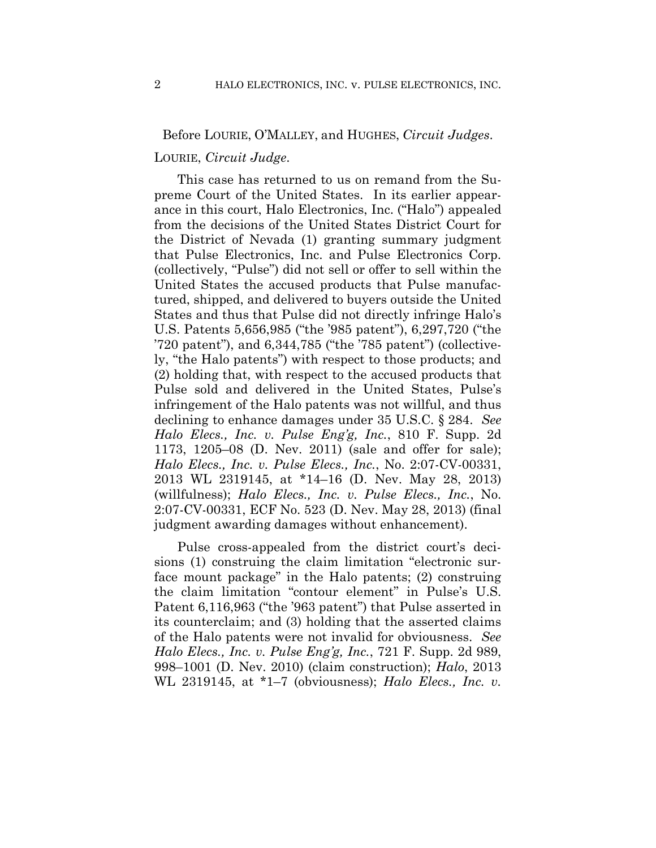## Before LOURIE, O'MALLEY, and HUGHES, *Circuit Judges*.

#### LOURIE, *Circuit Judge*.

This case has returned to us on remand from the Supreme Court of the United States. In its earlier appearance in this court, Halo Electronics, Inc. ("Halo") appealed from the decisions of the United States District Court for the District of Nevada (1) granting summary judgment that Pulse Electronics, Inc. and Pulse Electronics Corp. (collectively, "Pulse") did not sell or offer to sell within the United States the accused products that Pulse manufactured, shipped, and delivered to buyers outside the United States and thus that Pulse did not directly infringe Halo's U.S. Patents 5,656,985 ("the '985 patent"), 6,297,720 ("the '720 patent"), and 6,344,785 ("the '785 patent") (collectively, "the Halo patents") with respect to those products; and (2) holding that, with respect to the accused products that Pulse sold and delivered in the United States, Pulse's infringement of the Halo patents was not willful, and thus declining to enhance damages under 35 U.S.C. § 284. *See Halo Elecs., Inc. v. Pulse Eng'g, Inc.*, 810 F. Supp. 2d 1173, 1205–08 (D. Nev. 2011) (sale and offer for sale); *Halo Elecs., Inc. v. Pulse Elecs., Inc.*, No. 2:07-CV-00331, 2013 WL 2319145, at \*14–16 (D. Nev. May 28, 2013) (willfulness); *Halo Elecs., Inc. v. Pulse Elecs., Inc.*, No. 2:07-CV-00331, ECF No. 523 (D. Nev. May 28, 2013) (final judgment awarding damages without enhancement).

Pulse cross-appealed from the district court's decisions (1) construing the claim limitation "electronic surface mount package" in the Halo patents; (2) construing the claim limitation "contour element" in Pulse's U.S. Patent 6,116,963 ("the '963 patent") that Pulse asserted in its counterclaim; and (3) holding that the asserted claims of the Halo patents were not invalid for obviousness. *See Halo Elecs., Inc. v. Pulse Eng'g, Inc.*, 721 F. Supp. 2d 989, 998–1001 (D. Nev. 2010) (claim construction); *Halo*, 2013 WL 2319145, at \*1–7 (obviousness); *Halo Elecs., Inc. v.*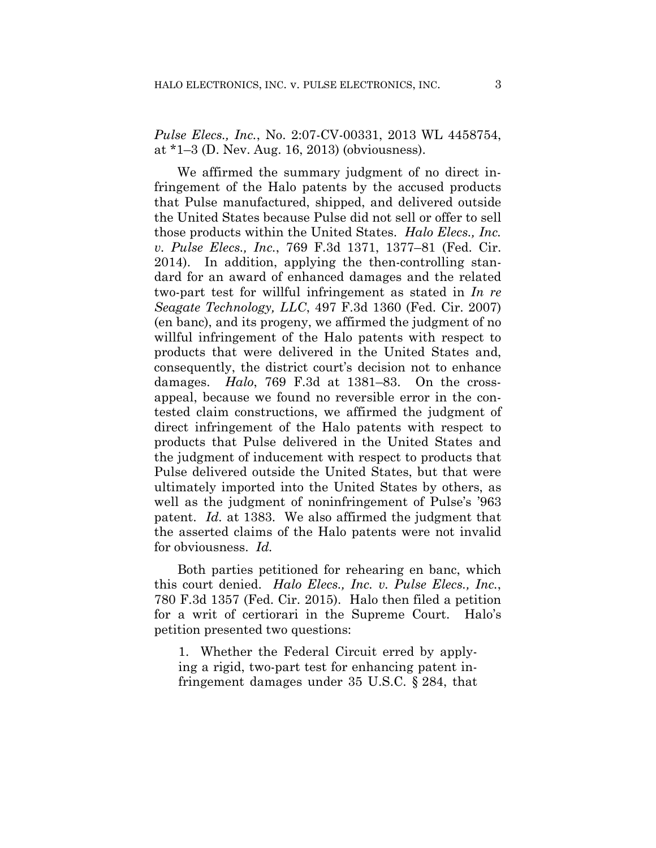*Pulse Elecs., Inc.*, No. 2:07-CV-00331, 2013 WL 4458754, at \*1–3 (D. Nev. Aug. 16, 2013) (obviousness).

We affirmed the summary judgment of no direct infringement of the Halo patents by the accused products that Pulse manufactured, shipped, and delivered outside the United States because Pulse did not sell or offer to sell those products within the United States. *Halo Elecs., Inc. v. Pulse Elecs., Inc.*, 769 F.3d 1371, 1377–81 (Fed. Cir. 2014). In addition, applying the then-controlling standard for an award of enhanced damages and the related two-part test for willful infringement as stated in *In re Seagate Technology, LLC*, 497 F.3d 1360 (Fed. Cir. 2007) (en banc), and its progeny, we affirmed the judgment of no willful infringement of the Halo patents with respect to products that were delivered in the United States and, consequently, the district court's decision not to enhance damages. *Halo*, 769 F.3d at 1381–83. On the crossappeal, because we found no reversible error in the contested claim constructions, we affirmed the judgment of direct infringement of the Halo patents with respect to products that Pulse delivered in the United States and the judgment of inducement with respect to products that Pulse delivered outside the United States, but that were ultimately imported into the United States by others, as well as the judgment of noninfringement of Pulse's '963 patent. *Id.* at 1383. We also affirmed the judgment that the asserted claims of the Halo patents were not invalid for obviousness. *Id.*

Both parties petitioned for rehearing en banc, which this court denied. *Halo Elecs., Inc. v. Pulse Elecs., Inc.*, 780 F.3d 1357 (Fed. Cir. 2015). Halo then filed a petition for a writ of certiorari in the Supreme Court. Halo's petition presented two questions:

1. Whether the Federal Circuit erred by applying a rigid, two-part test for enhancing patent infringement damages under 35 U.S.C. § 284, that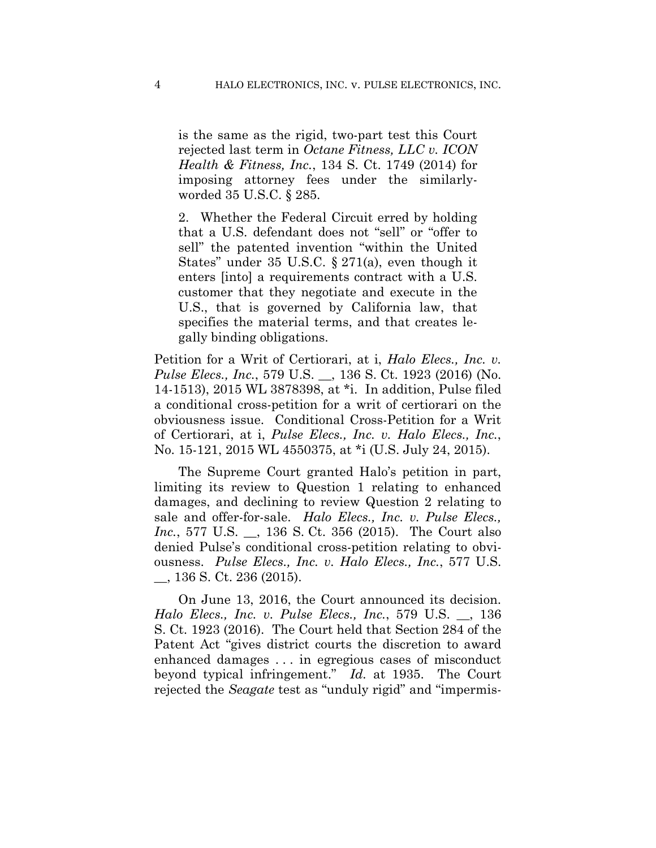is the same as the rigid, two-part test this Court rejected last term in *Octane Fitness, LLC v. ICON Health & Fitness, Inc.*, 134 S. Ct. 1749 (2014) for imposing attorney fees under the similarlyworded 35 U.S.C. § 285.

2. Whether the Federal Circuit erred by holding that a U.S. defendant does not "sell" or "offer to sell" the patented invention "within the United States" under 35 U.S.C. § 271(a), even though it enters [into] a requirements contract with a U.S. customer that they negotiate and execute in the U.S., that is governed by California law, that specifies the material terms, and that creates legally binding obligations.

Petition for a Writ of Certiorari, at i, *Halo Elecs., Inc. v. Pulse Elecs., Inc.*, 579 U.S. \_\_, 136 S. Ct. 1923 (2016) (No. 14-1513), 2015 WL 3878398, at \*i. In addition, Pulse filed a conditional cross-petition for a writ of certiorari on the obviousness issue. Conditional Cross-Petition for a Writ of Certiorari, at i, *Pulse Elecs., Inc. v. Halo Elecs., Inc.*, No. 15-121, 2015 WL 4550375, at \*i (U.S. July 24, 2015).

The Supreme Court granted Halo's petition in part, limiting its review to Question 1 relating to enhanced damages, and declining to review Question 2 relating to sale and offer-for-sale. *Halo Elecs., Inc. v. Pulse Elecs., Inc.*, 577 U.S. \_\_, 136 S. Ct. 356 (2015). The Court also denied Pulse's conditional cross-petition relating to obviousness. *Pulse Elecs., Inc. v. Halo Elecs., Inc.*, 577 U.S. \_\_, 136 S. Ct. 236 (2015).

On June 13, 2016, the Court announced its decision. *Halo Elecs., Inc. v. Pulse Elecs., Inc.*, 579 U.S. \_\_, 136 S. Ct. 1923 (2016). The Court held that Section 284 of the Patent Act "gives district courts the discretion to award enhanced damages . . . in egregious cases of misconduct beyond typical infringement." *Id.* at 1935. The Court rejected the *Seagate* test as "unduly rigid" and "impermis-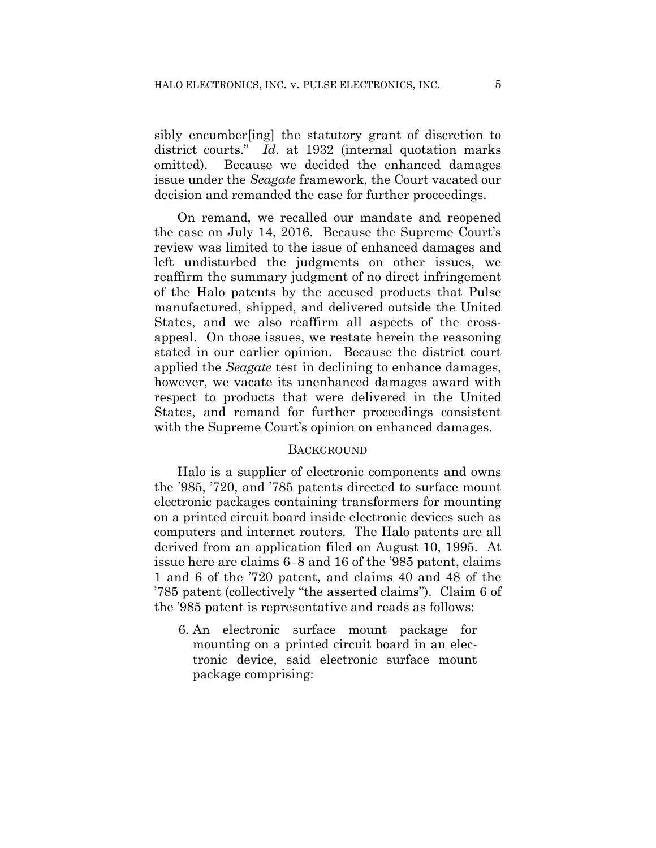sibly encumber[ing] the statutory grant of discretion to district courts." *Id.* at 1932 (internal quotation marks omitted). Because we decided the enhanced damages issue under the *Seagate* framework, the Court vacated our decision and remanded the case for further proceedings.

On remand, we recalled our mandate and reopened the case on July 14, 2016. Because the Supreme Court's review was limited to the issue of enhanced damages and left undisturbed the judgments on other issues, we reaffirm the summary judgment of no direct infringement of the Halo patents by the accused products that Pulse manufactured, shipped, and delivered outside the United States, and we also reaffirm all aspects of the crossappeal. On those issues, we restate herein the reasoning stated in our earlier opinion. Because the district court applied the *Seagate* test in declining to enhance damages, however, we vacate its unenhanced damages award with respect to products that were delivered in the United States, and remand for further proceedings consistent with the Supreme Court's opinion on enhanced damages.

#### **BACKGROUND**

Halo is a supplier of electronic components and owns the '985, '720, and '785 patents directed to surface mount electronic packages containing transformers for mounting on a printed circuit board inside electronic devices such as computers and internet routers. The Halo patents are all derived from an application filed on August 10, 1995. At issue here are claims 6–8 and 16 of the '985 patent, claims 1 and 6 of the '720 patent, and claims 40 and 48 of the '785 patent (collectively "the asserted claims"). Claim 6 of the '985 patent is representative and reads as follows:

6. An electronic surface mount package for mounting on a printed circuit board in an electronic device, said electronic surface mount package comprising: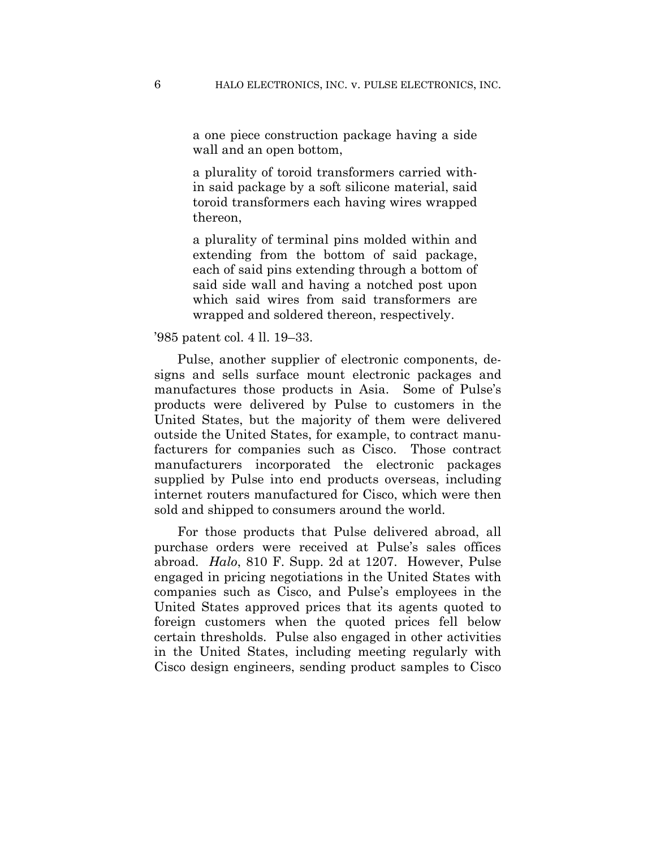a one piece construction package having a side wall and an open bottom,

a plurality of toroid transformers carried within said package by a soft silicone material, said toroid transformers each having wires wrapped thereon,

a plurality of terminal pins molded within and extending from the bottom of said package, each of said pins extending through a bottom of said side wall and having a notched post upon which said wires from said transformers are wrapped and soldered thereon, respectively.

'985 patent col. 4 ll. 19–33.

Pulse, another supplier of electronic components, designs and sells surface mount electronic packages and manufactures those products in Asia. Some of Pulse's products were delivered by Pulse to customers in the United States, but the majority of them were delivered outside the United States, for example, to contract manufacturers for companies such as Cisco. Those contract manufacturers incorporated the electronic packages supplied by Pulse into end products overseas, including internet routers manufactured for Cisco, which were then sold and shipped to consumers around the world.

For those products that Pulse delivered abroad, all purchase orders were received at Pulse's sales offices abroad. *Halo*, 810 F. Supp. 2d at 1207. However, Pulse engaged in pricing negotiations in the United States with companies such as Cisco, and Pulse's employees in the United States approved prices that its agents quoted to foreign customers when the quoted prices fell below certain thresholds. Pulse also engaged in other activities in the United States, including meeting regularly with Cisco design engineers, sending product samples to Cisco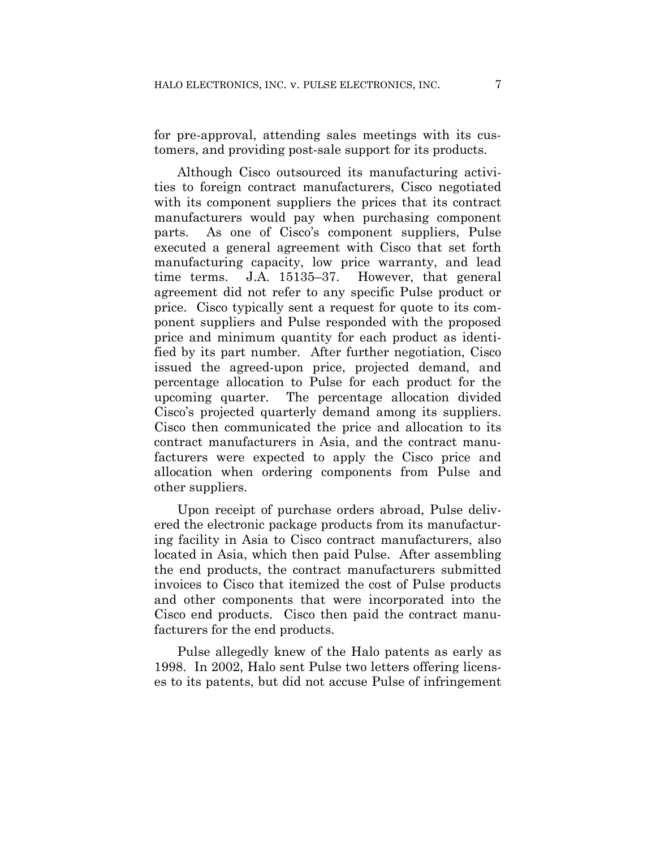for pre-approval, attending sales meetings with its customers, and providing post-sale support for its products.

Although Cisco outsourced its manufacturing activities to foreign contract manufacturers, Cisco negotiated with its component suppliers the prices that its contract manufacturers would pay when purchasing component parts. As one of Cisco's component suppliers, Pulse executed a general agreement with Cisco that set forth manufacturing capacity, low price warranty, and lead time terms. J.A. 15135–37. However, that general agreement did not refer to any specific Pulse product or price. Cisco typically sent a request for quote to its component suppliers and Pulse responded with the proposed price and minimum quantity for each product as identified by its part number. After further negotiation, Cisco issued the agreed-upon price, projected demand, and percentage allocation to Pulse for each product for the upcoming quarter. The percentage allocation divided Cisco's projected quarterly demand among its suppliers. Cisco then communicated the price and allocation to its contract manufacturers in Asia, and the contract manufacturers were expected to apply the Cisco price and allocation when ordering components from Pulse and other suppliers.

Upon receipt of purchase orders abroad, Pulse delivered the electronic package products from its manufacturing facility in Asia to Cisco contract manufacturers, also located in Asia, which then paid Pulse. After assembling the end products, the contract manufacturers submitted invoices to Cisco that itemized the cost of Pulse products and other components that were incorporated into the Cisco end products. Cisco then paid the contract manufacturers for the end products.

Pulse allegedly knew of the Halo patents as early as 1998. In 2002, Halo sent Pulse two letters offering licenses to its patents, but did not accuse Pulse of infringement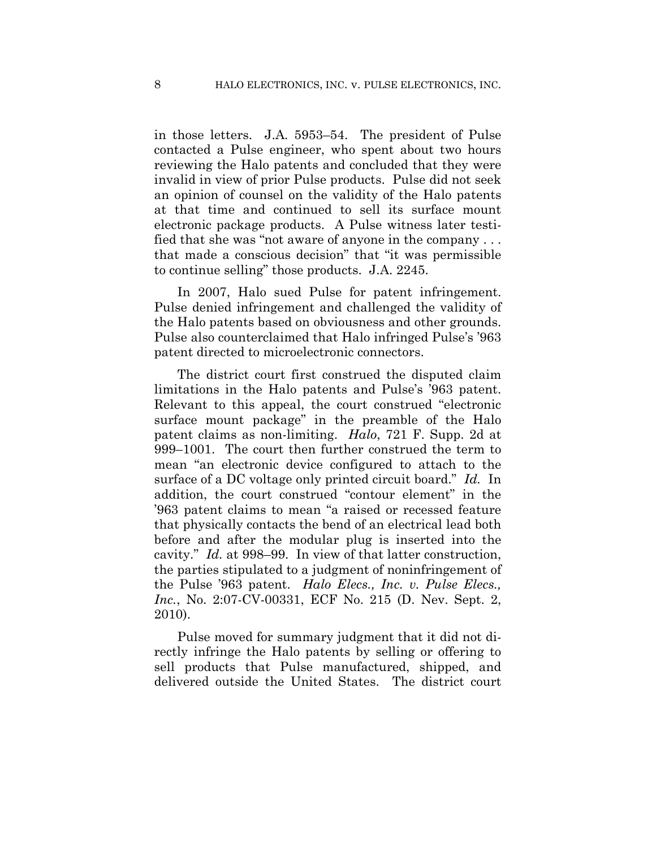in those letters. J.A. 5953–54. The president of Pulse contacted a Pulse engineer, who spent about two hours reviewing the Halo patents and concluded that they were invalid in view of prior Pulse products. Pulse did not seek an opinion of counsel on the validity of the Halo patents at that time and continued to sell its surface mount electronic package products. A Pulse witness later testified that she was "not aware of anyone in the company . . . that made a conscious decision" that "it was permissible to continue selling" those products. J.A. 2245.

In 2007, Halo sued Pulse for patent infringement. Pulse denied infringement and challenged the validity of the Halo patents based on obviousness and other grounds. Pulse also counterclaimed that Halo infringed Pulse's '963 patent directed to microelectronic connectors.

The district court first construed the disputed claim limitations in the Halo patents and Pulse's '963 patent. Relevant to this appeal, the court construed "electronic surface mount package" in the preamble of the Halo patent claims as non-limiting. *Halo*, 721 F. Supp. 2d at 999–1001. The court then further construed the term to mean "an electronic device configured to attach to the surface of a DC voltage only printed circuit board." *Id.* In addition, the court construed "contour element" in the '963 patent claims to mean "a raised or recessed feature that physically contacts the bend of an electrical lead both before and after the modular plug is inserted into the cavity." *Id.* at 998–99. In view of that latter construction, the parties stipulated to a judgment of noninfringement of the Pulse '963 patent. *Halo Elecs., Inc. v. Pulse Elecs., Inc.*, No. 2:07-CV-00331, ECF No. 215 (D. Nev. Sept. 2, 2010).

Pulse moved for summary judgment that it did not directly infringe the Halo patents by selling or offering to sell products that Pulse manufactured, shipped, and delivered outside the United States. The district court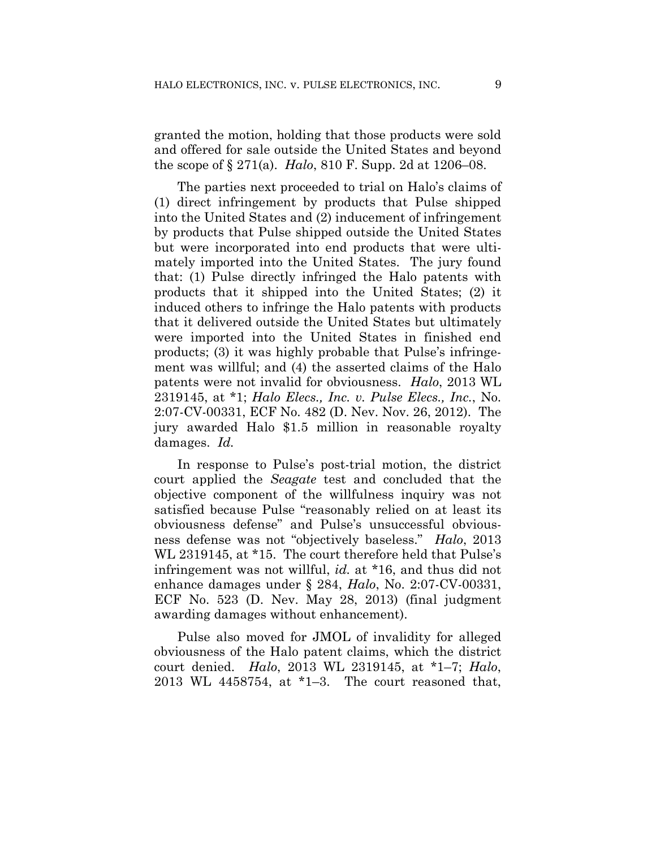granted the motion, holding that those products were sold and offered for sale outside the United States and beyond the scope of § 271(a). *Halo*, 810 F. Supp. 2d at 1206–08.

The parties next proceeded to trial on Halo's claims of (1) direct infringement by products that Pulse shipped into the United States and (2) inducement of infringement by products that Pulse shipped outside the United States but were incorporated into end products that were ultimately imported into the United States. The jury found that: (1) Pulse directly infringed the Halo patents with products that it shipped into the United States; (2) it induced others to infringe the Halo patents with products that it delivered outside the United States but ultimately were imported into the United States in finished end products; (3) it was highly probable that Pulse's infringement was willful; and (4) the asserted claims of the Halo patents were not invalid for obviousness. *Halo*, 2013 WL 2319145, at \*1; *Halo Elecs., Inc. v. Pulse Elecs., Inc.*, No. 2:07-CV-00331, ECF No. 482 (D. Nev. Nov. 26, 2012). The jury awarded Halo \$1.5 million in reasonable royalty damages. *Id.*

In response to Pulse's post-trial motion, the district court applied the *Seagate* test and concluded that the objective component of the willfulness inquiry was not satisfied because Pulse "reasonably relied on at least its obviousness defense" and Pulse's unsuccessful obviousness defense was not "objectively baseless." *Halo*, 2013 WL 2319145, at \*15. The court therefore held that Pulse's infringement was not willful, *id.* at \*16, and thus did not enhance damages under § 284, *Halo*, No. 2:07-CV-00331, ECF No. 523 (D. Nev. May 28, 2013) (final judgment awarding damages without enhancement).

Pulse also moved for JMOL of invalidity for alleged obviousness of the Halo patent claims, which the district court denied. *Halo*, 2013 WL 2319145, at \*1–7; *Halo*, 2013 WL 4458754, at \*1–3. The court reasoned that,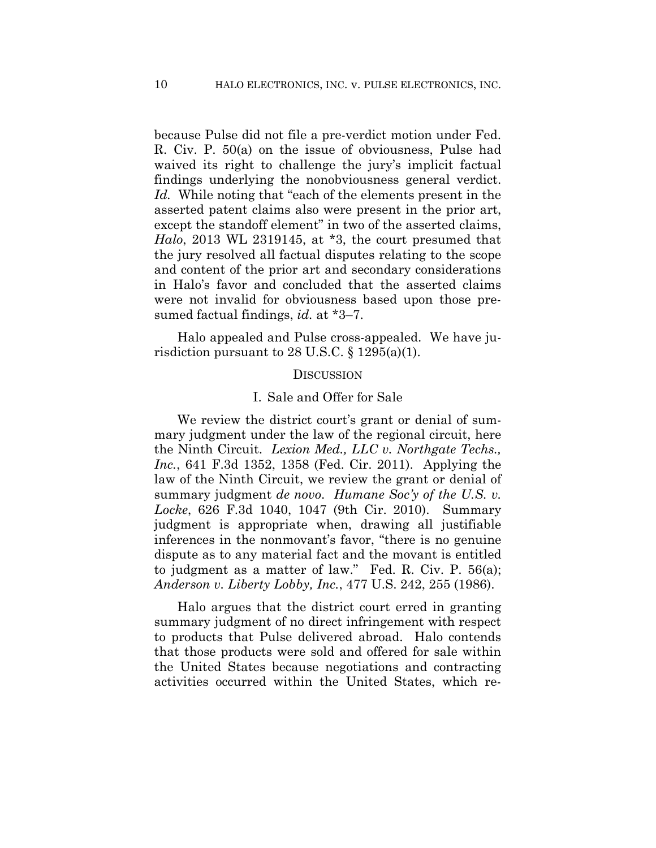because Pulse did not file a pre-verdict motion under Fed. R. Civ. P. 50(a) on the issue of obviousness, Pulse had waived its right to challenge the jury's implicit factual findings underlying the nonobviousness general verdict. *Id.* While noting that "each of the elements present in the asserted patent claims also were present in the prior art, except the standoff element" in two of the asserted claims, *Halo*, 2013 WL 2319145, at \*3, the court presumed that the jury resolved all factual disputes relating to the scope and content of the prior art and secondary considerations in Halo's favor and concluded that the asserted claims were not invalid for obviousness based upon those presumed factual findings, *id.* at \*3–7.

Halo appealed and Pulse cross-appealed. We have jurisdiction pursuant to 28 U.S.C.  $\S 1295(a)(1)$ .

#### **DISCUSSION**

#### I. Sale and Offer for Sale

We review the district court's grant or denial of summary judgment under the law of the regional circuit, here the Ninth Circuit. *Lexion Med., LLC v. Northgate Techs., Inc.*, 641 F.3d 1352, 1358 (Fed. Cir. 2011). Applying the law of the Ninth Circuit, we review the grant or denial of summary judgment *de novo*. *Humane Soc'y of the U.S. v. Locke*, 626 F.3d 1040, 1047 (9th Cir. 2010). Summary judgment is appropriate when, drawing all justifiable inferences in the nonmovant's favor, "there is no genuine dispute as to any material fact and the movant is entitled to judgment as a matter of law." Fed. R. Civ. P. 56(a); *Anderson v. Liberty Lobby, Inc.*, 477 U.S. 242, 255 (1986).

Halo argues that the district court erred in granting summary judgment of no direct infringement with respect to products that Pulse delivered abroad. Halo contends that those products were sold and offered for sale within the United States because negotiations and contracting activities occurred within the United States, which re-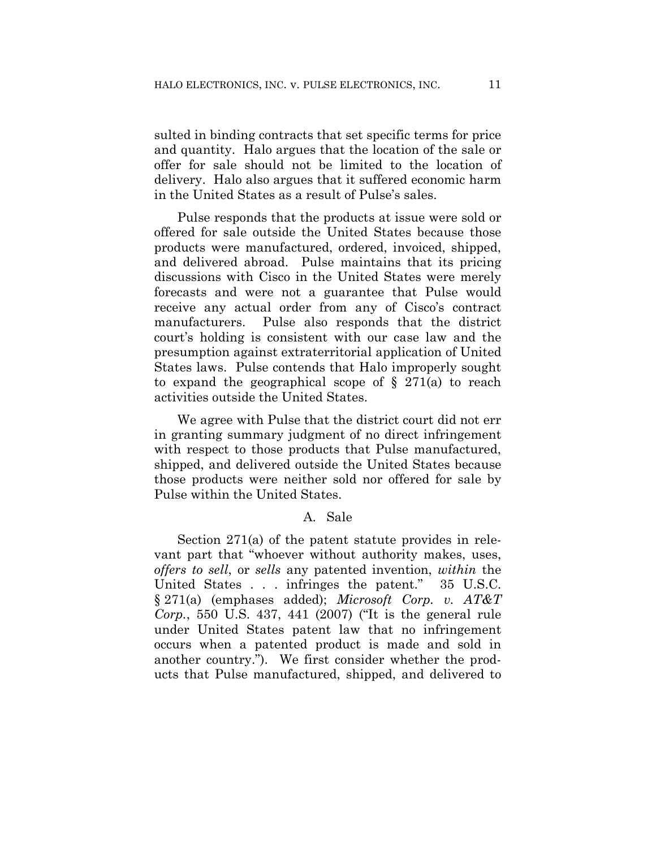sulted in binding contracts that set specific terms for price and quantity. Halo argues that the location of the sale or offer for sale should not be limited to the location of delivery. Halo also argues that it suffered economic harm in the United States as a result of Pulse's sales.

Pulse responds that the products at issue were sold or offered for sale outside the United States because those products were manufactured, ordered, invoiced, shipped, and delivered abroad. Pulse maintains that its pricing discussions with Cisco in the United States were merely forecasts and were not a guarantee that Pulse would receive any actual order from any of Cisco's contract manufacturers. Pulse also responds that the district court's holding is consistent with our case law and the presumption against extraterritorial application of United States laws. Pulse contends that Halo improperly sought to expand the geographical scope of  $\S$  271(a) to reach activities outside the United States.

We agree with Pulse that the district court did not err in granting summary judgment of no direct infringement with respect to those products that Pulse manufactured, shipped, and delivered outside the United States because those products were neither sold nor offered for sale by Pulse within the United States.

#### A. Sale

Section 271(a) of the patent statute provides in relevant part that "whoever without authority makes, uses, *offers to sell*, or *sells* any patented invention, *within* the United States . . . infringes the patent." 35 U.S.C. § 271(a) (emphases added); *Microsoft Corp. v. AT&T Corp.*, 550 U.S. 437, 441 (2007) ("It is the general rule under United States patent law that no infringement occurs when a patented product is made and sold in another country."). We first consider whether the products that Pulse manufactured, shipped, and delivered to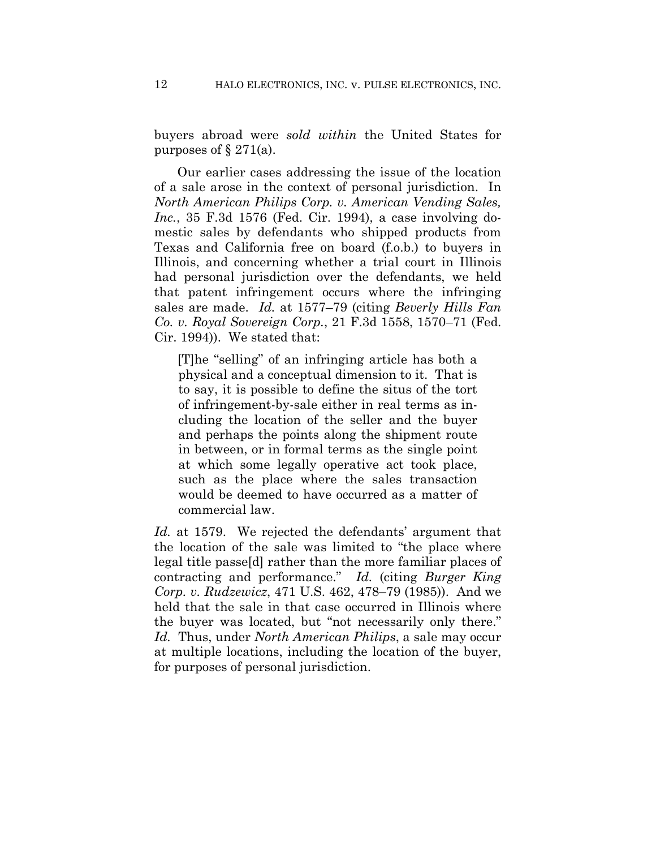buyers abroad were *sold within* the United States for purposes of  $\S 271(a)$ .

Our earlier cases addressing the issue of the location of a sale arose in the context of personal jurisdiction. In *North American Philips Corp. v. American Vending Sales, Inc.*, 35 F.3d 1576 (Fed. Cir. 1994), a case involving domestic sales by defendants who shipped products from Texas and California free on board (f.o.b.) to buyers in Illinois, and concerning whether a trial court in Illinois had personal jurisdiction over the defendants, we held that patent infringement occurs where the infringing sales are made. *Id.* at 1577–79 (citing *Beverly Hills Fan Co. v. Royal Sovereign Corp.*, 21 F.3d 1558, 1570–71 (Fed. Cir. 1994)). We stated that:

[T]he "selling" of an infringing article has both a physical and a conceptual dimension to it. That is to say, it is possible to define the situs of the tort of infringement-by-sale either in real terms as including the location of the seller and the buyer and perhaps the points along the shipment route in between, or in formal terms as the single point at which some legally operative act took place, such as the place where the sales transaction would be deemed to have occurred as a matter of commercial law.

*Id.* at 1579. We rejected the defendants' argument that the location of the sale was limited to "the place where legal title passe[d] rather than the more familiar places of contracting and performance." *Id.* (citing *Burger King Corp. v. Rudzewicz*, 471 U.S. 462, 478–79 (1985)). And we held that the sale in that case occurred in Illinois where the buyer was located, but "not necessarily only there." *Id.* Thus, under *North American Philips*, a sale may occur at multiple locations, including the location of the buyer, for purposes of personal jurisdiction.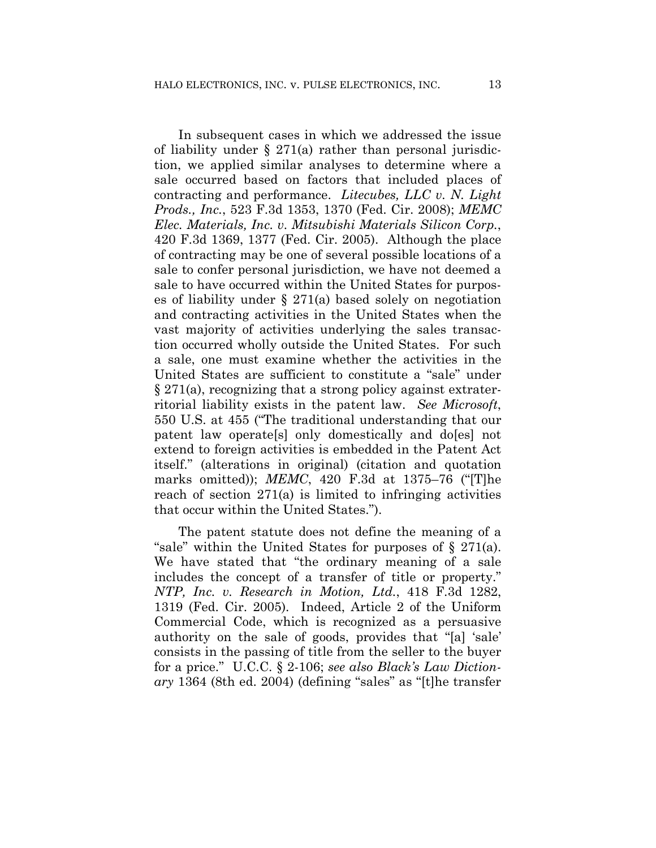In subsequent cases in which we addressed the issue of liability under  $\S 271(a)$  rather than personal jurisdiction, we applied similar analyses to determine where a sale occurred based on factors that included places of contracting and performance. *Litecubes, LLC v. N. Light Prods., Inc.*, 523 F.3d 1353, 1370 (Fed. Cir. 2008); *MEMC Elec. Materials, Inc. v. Mitsubishi Materials Silicon Corp.*, 420 F.3d 1369, 1377 (Fed. Cir. 2005). Although the place of contracting may be one of several possible locations of a sale to confer personal jurisdiction, we have not deemed a sale to have occurred within the United States for purposes of liability under § 271(a) based solely on negotiation and contracting activities in the United States when the vast majority of activities underlying the sales transaction occurred wholly outside the United States. For such a sale, one must examine whether the activities in the United States are sufficient to constitute a "sale" under § 271(a), recognizing that a strong policy against extraterritorial liability exists in the patent law. *See Microsoft*, 550 U.S. at 455 ("The traditional understanding that our patent law operate[s] only domestically and do[es] not extend to foreign activities is embedded in the Patent Act itself." (alterations in original) (citation and quotation marks omitted)); *MEMC*, 420 F.3d at 1375–76 ("[T]he reach of section 271(a) is limited to infringing activities that occur within the United States.").

The patent statute does not define the meaning of a "sale" within the United States for purposes of § 271(a). We have stated that "the ordinary meaning of a sale includes the concept of a transfer of title or property." *NTP, Inc. v. Research in Motion, Ltd.*, 418 F.3d 1282, 1319 (Fed. Cir. 2005). Indeed, Article 2 of the Uniform Commercial Code, which is recognized as a persuasive authority on the sale of goods, provides that "[a] 'sale' consists in the passing of title from the seller to the buyer for a price." U.C.C. § 2-106; *see also Black's Law Dictionary* 1364 (8th ed. 2004) (defining "sales" as "[t]he transfer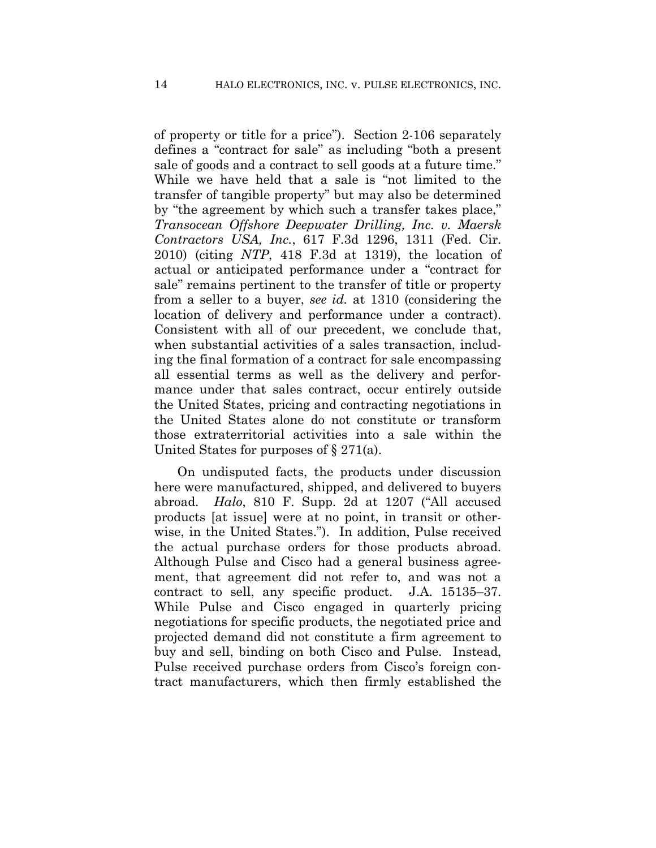of property or title for a price"). Section 2-106 separately defines a "contract for sale" as including "both a present sale of goods and a contract to sell goods at a future time." While we have held that a sale is "not limited to the transfer of tangible property" but may also be determined by "the agreement by which such a transfer takes place," *Transocean Offshore Deepwater Drilling, Inc. v. Maersk Contractors USA, Inc.*, 617 F.3d 1296, 1311 (Fed. Cir. 2010) (citing *NTP*, 418 F.3d at 1319), the location of actual or anticipated performance under a "contract for sale" remains pertinent to the transfer of title or property from a seller to a buyer, *see id.* at 1310 (considering the location of delivery and performance under a contract). Consistent with all of our precedent, we conclude that, when substantial activities of a sales transaction, including the final formation of a contract for sale encompassing all essential terms as well as the delivery and performance under that sales contract, occur entirely outside the United States, pricing and contracting negotiations in the United States alone do not constitute or transform those extraterritorial activities into a sale within the United States for purposes of § 271(a).

On undisputed facts, the products under discussion here were manufactured, shipped, and delivered to buyers abroad. *Halo*, 810 F. Supp. 2d at 1207 ("All accused products [at issue] were at no point, in transit or otherwise, in the United States."). In addition, Pulse received the actual purchase orders for those products abroad. Although Pulse and Cisco had a general business agreement, that agreement did not refer to, and was not a contract to sell, any specific product. J.A. 15135–37. While Pulse and Cisco engaged in quarterly pricing negotiations for specific products, the negotiated price and projected demand did not constitute a firm agreement to buy and sell, binding on both Cisco and Pulse. Instead, Pulse received purchase orders from Cisco's foreign contract manufacturers, which then firmly established the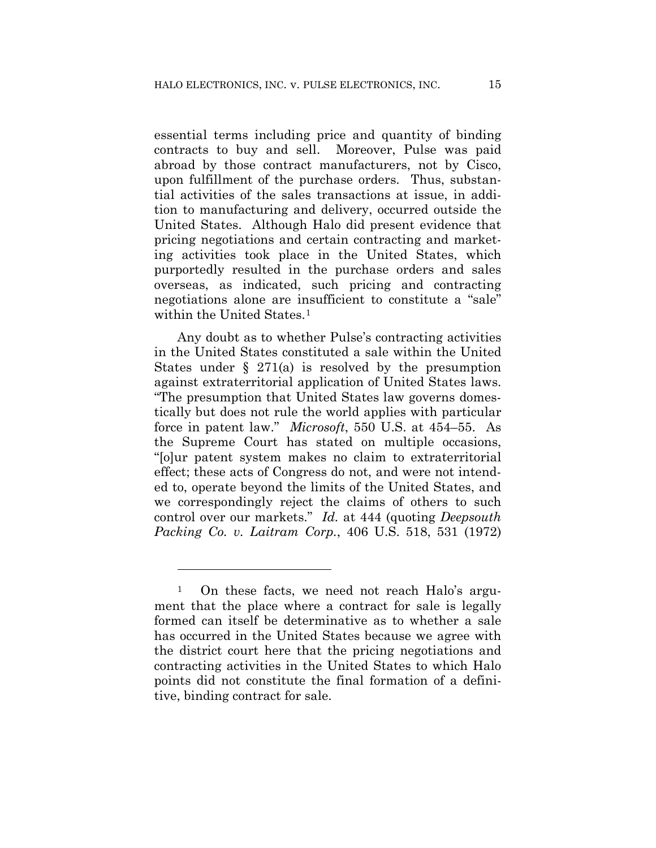essential terms including price and quantity of binding contracts to buy and sell. Moreover, Pulse was paid abroad by those contract manufacturers, not by Cisco, upon fulfillment of the purchase orders. Thus, substantial activities of the sales transactions at issue, in addition to manufacturing and delivery, occurred outside the United States. Although Halo did present evidence that pricing negotiations and certain contracting and marketing activities took place in the United States, which purportedly resulted in the purchase orders and sales overseas, as indicated, such pricing and contracting negotiations alone are insufficient to constitute a "sale" within the United States.<sup>1</sup>

Any doubt as to whether Pulse's contracting activities in the United States constituted a sale within the United States under  $\S$  271(a) is resolved by the presumption against extraterritorial application of United States laws. "The presumption that United States law governs domestically but does not rule the world applies with particular force in patent law." *Microsoft*, 550 U.S. at 454–55. As the Supreme Court has stated on multiple occasions, "[o]ur patent system makes no claim to extraterritorial effect; these acts of Congress do not, and were not intended to, operate beyond the limits of the United States, and we correspondingly reject the claims of others to such control over our markets." *Id.* at 444 (quoting *Deepsouth Packing Co. v. Laitram Corp.*, 406 U.S. 518, 531 (1972)

1

<sup>1</sup> On these facts, we need not reach Halo's argument that the place where a contract for sale is legally formed can itself be determinative as to whether a sale has occurred in the United States because we agree with the district court here that the pricing negotiations and contracting activities in the United States to which Halo points did not constitute the final formation of a definitive, binding contract for sale.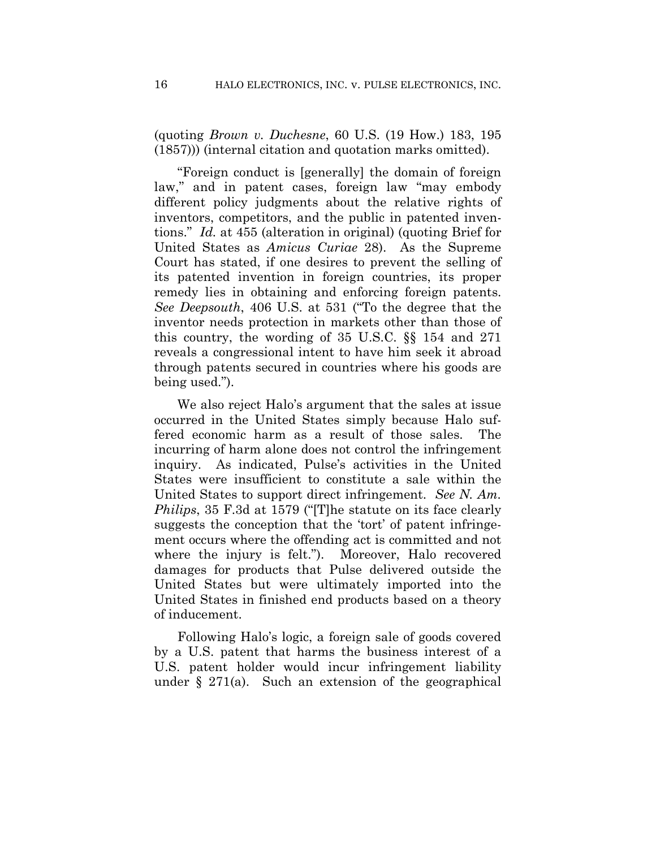(quoting *Brown v. Duchesne*, 60 U.S. (19 How.) 183, 195 (1857))) (internal citation and quotation marks omitted).

"Foreign conduct is [generally] the domain of foreign law," and in patent cases, foreign law "may embody different policy judgments about the relative rights of inventors, competitors, and the public in patented inventions." *Id.* at 455 (alteration in original) (quoting Brief for United States as *Amicus Curiae* 28). As the Supreme Court has stated, if one desires to prevent the selling of its patented invention in foreign countries, its proper remedy lies in obtaining and enforcing foreign patents. *See Deepsouth*, 406 U.S. at 531 ("To the degree that the inventor needs protection in markets other than those of this country, the wording of 35 U.S.C. §§ 154 and 271 reveals a congressional intent to have him seek it abroad through patents secured in countries where his goods are being used.").

We also reject Halo's argument that the sales at issue occurred in the United States simply because Halo suffered economic harm as a result of those sales. The incurring of harm alone does not control the infringement inquiry. As indicated, Pulse's activities in the United States were insufficient to constitute a sale within the United States to support direct infringement. *See N. Am. Philips*, 35 F.3d at 1579 ("[T]he statute on its face clearly suggests the conception that the 'tort' of patent infringement occurs where the offending act is committed and not where the injury is felt."). Moreover, Halo recovered damages for products that Pulse delivered outside the United States but were ultimately imported into the United States in finished end products based on a theory of inducement.

Following Halo's logic, a foreign sale of goods covered by a U.S. patent that harms the business interest of a U.S. patent holder would incur infringement liability under § 271(a). Such an extension of the geographical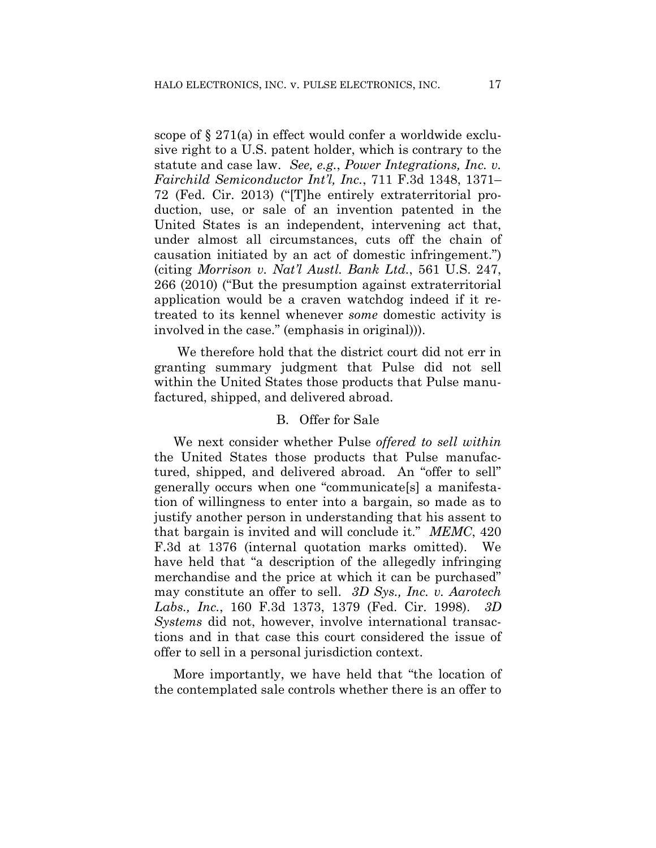scope of § 271(a) in effect would confer a worldwide exclusive right to a U.S. patent holder, which is contrary to the statute and case law. *See, e.g.*, *Power Integrations, Inc. v. Fairchild Semiconductor Int'l, Inc.*, 711 F.3d 1348, 1371– 72 (Fed. Cir. 2013) ("[T]he entirely extraterritorial production, use, or sale of an invention patented in the United States is an independent, intervening act that, under almost all circumstances, cuts off the chain of causation initiated by an act of domestic infringement.") (citing *Morrison v. Nat'l Austl. Bank Ltd.*, 561 U.S. 247, 266 (2010) ("But the presumption against extraterritorial application would be a craven watchdog indeed if it retreated to its kennel whenever *some* domestic activity is involved in the case." (emphasis in original))).

We therefore hold that the district court did not err in granting summary judgment that Pulse did not sell within the United States those products that Pulse manufactured, shipped, and delivered abroad.

#### B. Offer for Sale

We next consider whether Pulse *offered to sell within* the United States those products that Pulse manufactured, shipped, and delivered abroad. An "offer to sell" generally occurs when one "communicate[s] a manifestation of willingness to enter into a bargain, so made as to justify another person in understanding that his assent to that bargain is invited and will conclude it." *MEMC*, 420 F.3d at 1376 (internal quotation marks omitted). We have held that "a description of the allegedly infringing merchandise and the price at which it can be purchased" may constitute an offer to sell. *3D Sys., Inc. v. Aarotech Labs., Inc.*, 160 F.3d 1373, 1379 (Fed. Cir. 1998). *3D Systems* did not, however, involve international transactions and in that case this court considered the issue of offer to sell in a personal jurisdiction context.

More importantly, we have held that "the location of the contemplated sale controls whether there is an offer to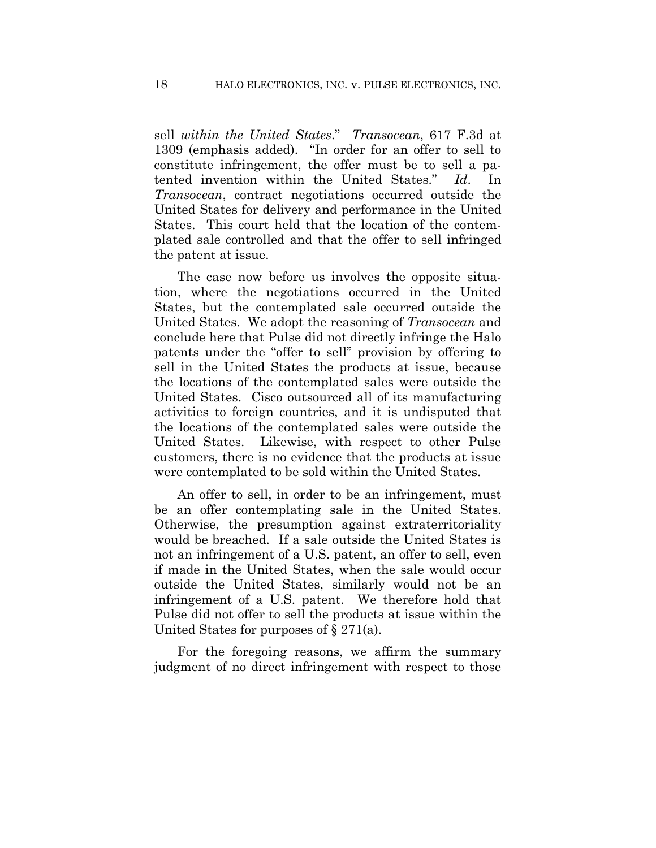sell *within the United States*." *Transocean*, 617 F.3d at 1309 (emphasis added). "In order for an offer to sell to constitute infringement, the offer must be to sell a patented invention within the United States." *Id*. In *Transocean*, contract negotiations occurred outside the United States for delivery and performance in the United States. This court held that the location of the contemplated sale controlled and that the offer to sell infringed the patent at issue.

The case now before us involves the opposite situation, where the negotiations occurred in the United States, but the contemplated sale occurred outside the United States. We adopt the reasoning of *Transocean* and conclude here that Pulse did not directly infringe the Halo patents under the "offer to sell" provision by offering to sell in the United States the products at issue, because the locations of the contemplated sales were outside the United States. Cisco outsourced all of its manufacturing activities to foreign countries, and it is undisputed that the locations of the contemplated sales were outside the United States. Likewise, with respect to other Pulse customers, there is no evidence that the products at issue were contemplated to be sold within the United States.

An offer to sell, in order to be an infringement, must be an offer contemplating sale in the United States. Otherwise, the presumption against extraterritoriality would be breached. If a sale outside the United States is not an infringement of a U.S. patent, an offer to sell, even if made in the United States, when the sale would occur outside the United States, similarly would not be an infringement of a U.S. patent. We therefore hold that Pulse did not offer to sell the products at issue within the United States for purposes of § 271(a).

For the foregoing reasons, we affirm the summary judgment of no direct infringement with respect to those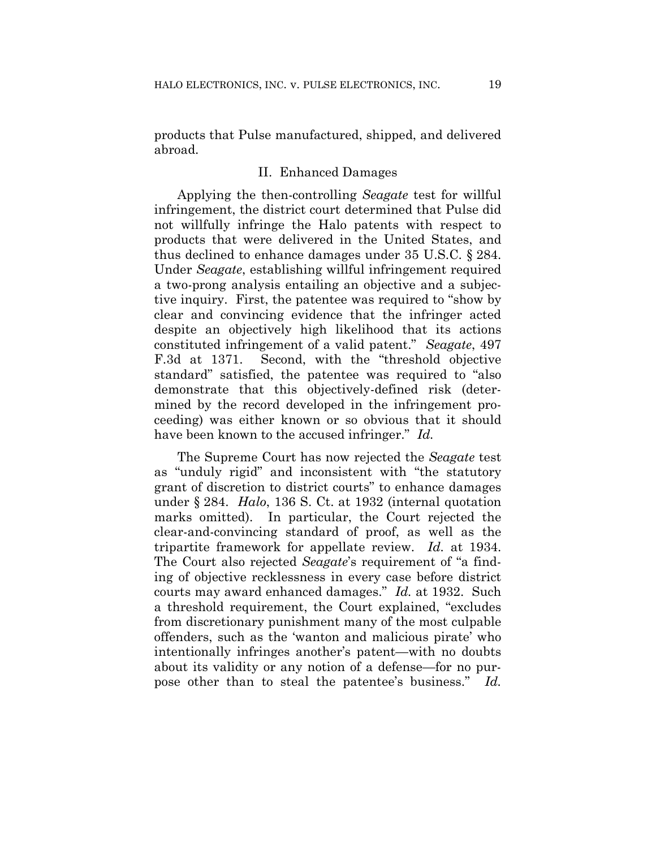products that Pulse manufactured, shipped, and delivered abroad.

#### II. Enhanced Damages

Applying the then-controlling *Seagate* test for willful infringement, the district court determined that Pulse did not willfully infringe the Halo patents with respect to products that were delivered in the United States, and thus declined to enhance damages under 35 U.S.C. § 284. Under *Seagate*, establishing willful infringement required a two-prong analysis entailing an objective and a subjective inquiry. First, the patentee was required to "show by clear and convincing evidence that the infringer acted despite an objectively high likelihood that its actions constituted infringement of a valid patent." *Seagate*, 497 F.3d at 1371. Second, with the "threshold objective standard" satisfied, the patentee was required to "also demonstrate that this objectively-defined risk (determined by the record developed in the infringement proceeding) was either known or so obvious that it should have been known to the accused infringer." *Id.*

The Supreme Court has now rejected the *Seagate* test as "unduly rigid" and inconsistent with "the statutory grant of discretion to district courts" to enhance damages under § 284. *Halo*, 136 S. Ct. at 1932 (internal quotation marks omitted). In particular, the Court rejected the clear-and-convincing standard of proof, as well as the tripartite framework for appellate review. *Id.* at 1934. The Court also rejected *Seagate*'s requirement of "a finding of objective recklessness in every case before district courts may award enhanced damages." *Id.* at 1932. Such a threshold requirement, the Court explained, "excludes from discretionary punishment many of the most culpable offenders, such as the 'wanton and malicious pirate' who intentionally infringes another's patent—with no doubts about its validity or any notion of a defense—for no purpose other than to steal the patentee's business." *Id.*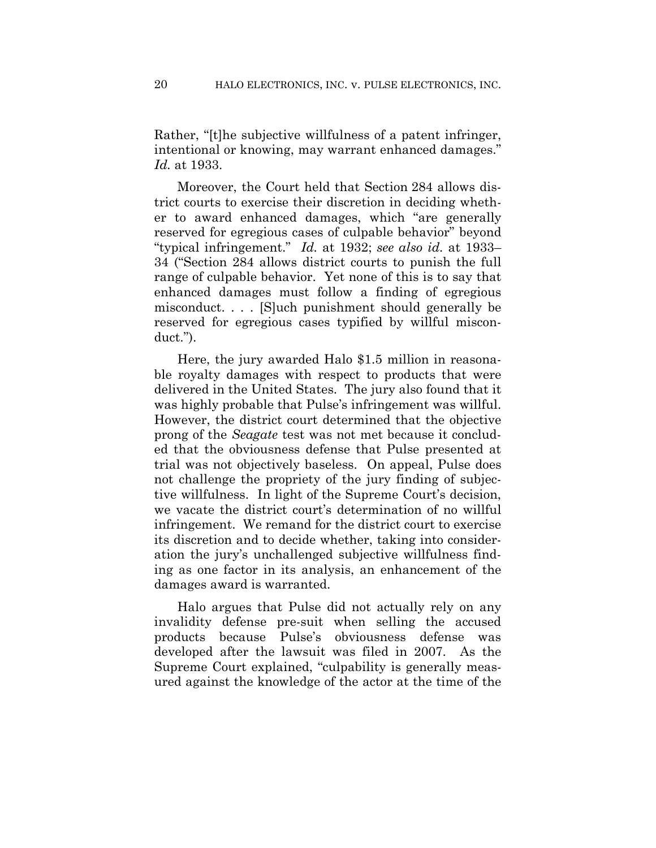Rather, "[t]he subjective willfulness of a patent infringer, intentional or knowing, may warrant enhanced damages." *Id.* at 1933.

Moreover, the Court held that Section 284 allows district courts to exercise their discretion in deciding whether to award enhanced damages, which "are generally reserved for egregious cases of culpable behavior" beyond "typical infringement." *Id.* at 1932; *see also id.* at 1933– 34 ("Section 284 allows district courts to punish the full range of culpable behavior. Yet none of this is to say that enhanced damages must follow a finding of egregious misconduct. . . . [S]uch punishment should generally be reserved for egregious cases typified by willful misconduct.").

Here, the jury awarded Halo \$1.5 million in reasonable royalty damages with respect to products that were delivered in the United States. The jury also found that it was highly probable that Pulse's infringement was willful. However, the district court determined that the objective prong of the *Seagate* test was not met because it concluded that the obviousness defense that Pulse presented at trial was not objectively baseless. On appeal, Pulse does not challenge the propriety of the jury finding of subjective willfulness. In light of the Supreme Court's decision, we vacate the district court's determination of no willful infringement. We remand for the district court to exercise its discretion and to decide whether, taking into consideration the jury's unchallenged subjective willfulness finding as one factor in its analysis, an enhancement of the damages award is warranted.

Halo argues that Pulse did not actually rely on any invalidity defense pre-suit when selling the accused products because Pulse's obviousness defense was developed after the lawsuit was filed in 2007. As the Supreme Court explained, "culpability is generally measured against the knowledge of the actor at the time of the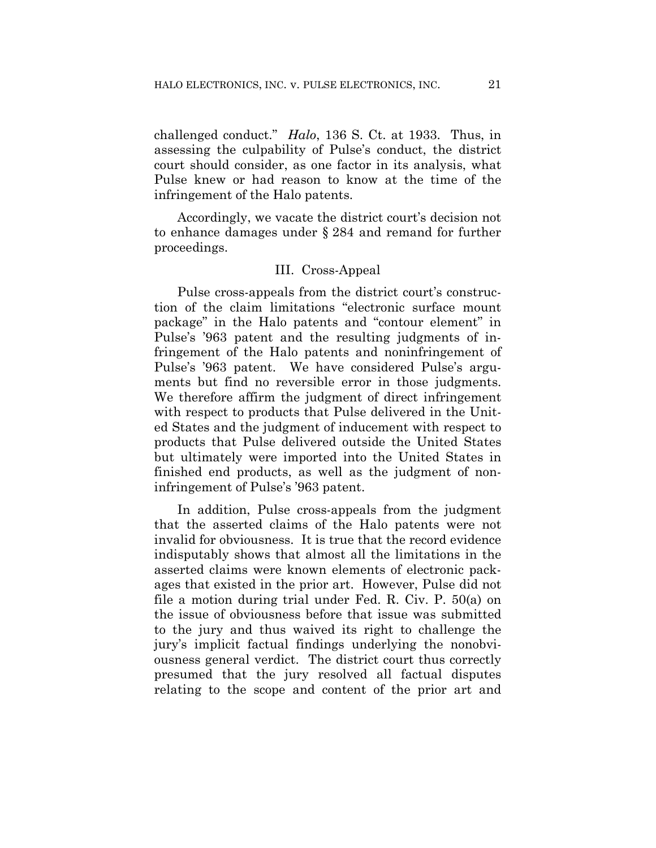challenged conduct." *Halo*, 136 S. Ct. at 1933. Thus, in assessing the culpability of Pulse's conduct, the district court should consider, as one factor in its analysis, what Pulse knew or had reason to know at the time of the infringement of the Halo patents.

Accordingly, we vacate the district court's decision not to enhance damages under § 284 and remand for further proceedings.

#### III. Cross-Appeal

Pulse cross-appeals from the district court's construction of the claim limitations "electronic surface mount package" in the Halo patents and "contour element" in Pulse's '963 patent and the resulting judgments of infringement of the Halo patents and noninfringement of Pulse's '963 patent. We have considered Pulse's arguments but find no reversible error in those judgments. We therefore affirm the judgment of direct infringement with respect to products that Pulse delivered in the United States and the judgment of inducement with respect to products that Pulse delivered outside the United States but ultimately were imported into the United States in finished end products, as well as the judgment of noninfringement of Pulse's '963 patent.

In addition, Pulse cross-appeals from the judgment that the asserted claims of the Halo patents were not invalid for obviousness. It is true that the record evidence indisputably shows that almost all the limitations in the asserted claims were known elements of electronic packages that existed in the prior art. However, Pulse did not file a motion during trial under Fed. R. Civ. P. 50(a) on the issue of obviousness before that issue was submitted to the jury and thus waived its right to challenge the jury's implicit factual findings underlying the nonobviousness general verdict. The district court thus correctly presumed that the jury resolved all factual disputes relating to the scope and content of the prior art and